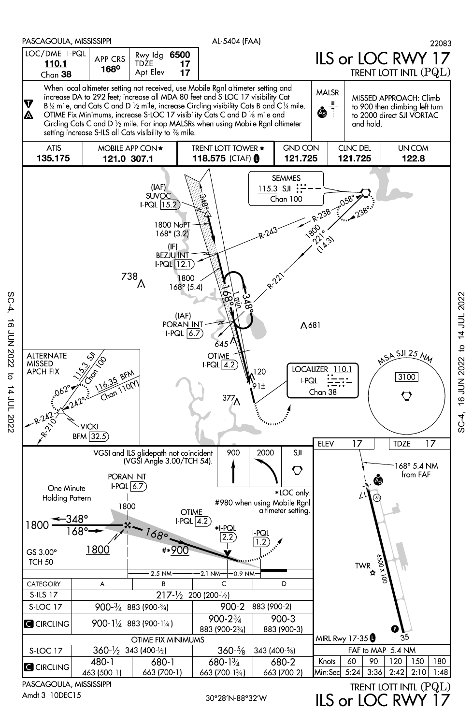

PASCAGOULA, MISSISSIPPI Amdt 3 10DEC15

SC-4,

16 JUN 2022 to

14 JUL 2022

30°28'N-88°32'W

ILS or LOC RW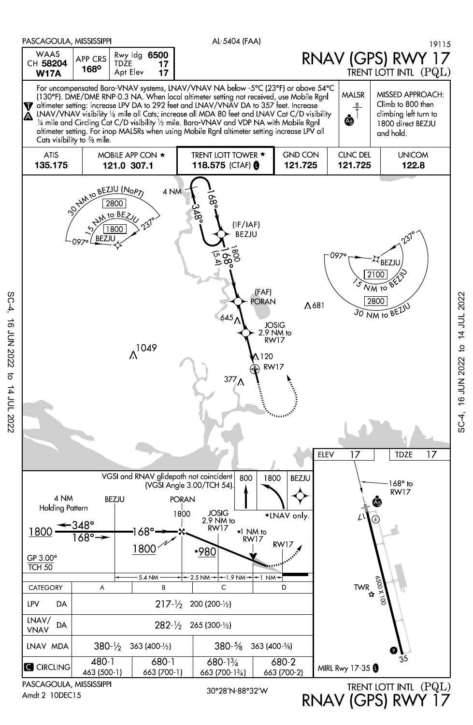

Amdt 2 10DEC15

SC-4, 16 JUN 2022 to 14 JUL 2022

 $\sigma$ 

14 JUL 2022

**16 JUN 2022** 

SC-4,

30°28'N-88°32'W

RNAV (GPS) RWY 17

SC-4, 16 JUN 2022 to 14 JUL 2022

 $5C-4$ .

16 JUN 2022 to 14 JUL 2022